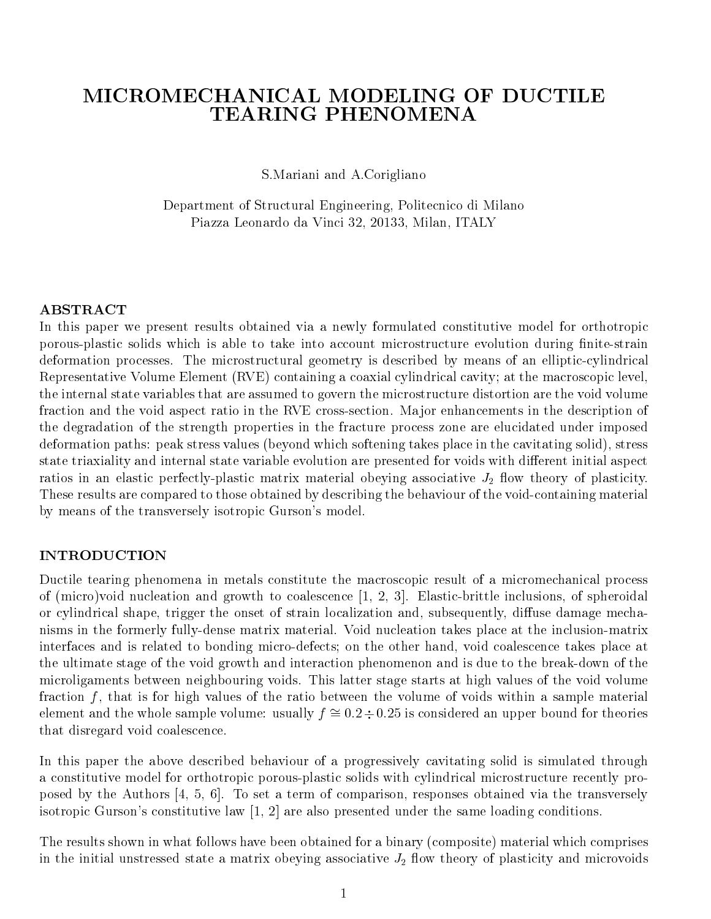# MICROMECHANICAL MODELING OF DUCTILE **TEARING PHENOMENA**

S.Mariani and A.Corigliano

Department of Structural Engineering, Politecnico di Milano Piazza Leonardo da Vinci 32, 20133, Milan, ITALY

### ABSTRACT

In this paper we present results obtained via a newly formulated constitutive model for orthotropic porous-plastic solids which is able to take into account microstructure evolution during finite-strain deformation processes. The microstructural geometry is described by means of an elliptic-cylindrical Representative Volume Element (RVE) containing a coaxial cylindrical cavity; at the macroscopic level, the internal state variables that are assumed to govern the microstructure distortion are the void volume fraction and the void aspect ratio in the RVE cross-section. Major enhancements in the description of the degradation of the strength properties in the fracture process zone are elucidated under imposed deformation paths: peak stress values (beyond which softening takes place in the cavitating solid), stress state triaxiality and internal state variable evolution are presented for voids with different initial aspect ratios in an elastic perfectly-plastic matrix material obeying associative  $J_2$  flow theory of plasticity. These results are compared to those obtained by describing the behaviour of the void-containing material by means of the transversely isotropic Gurson's model.

### INTRODUCTION

Ductile tearing phenomena in metals constitute the macroscopic result of a micromechanical process of (micro)void nucleation and growth to coalescence [1, 2, 3]. Elastic-brittle inclusions, of spheroidal or cylindrical shape, trigger the onset of strain localization and, subsequently, diffuse damage mechanisms in the formerly fully-dense matrix material. Void nucleation takes place at the inclusion-matrix interfaces and is related to bonding micro-defects; on the other hand, void coalescence takes place at the ultimate stage of the void growth and interaction phenomenon and is due to the break-down of the microligaments between neighbouring voids. This latter stage starts at high values of the void volume fraction  $f$ , that is for high values of the ratio between the volume of voids within a sample material element and the whole sample volume: usually  $f \approx 0.2 \div 0.25$  is considered an upper bound for theories that disregard void coalescence.

In this paper the above described behaviour of a progressively cavitating solid is simulated through a constitutive model for orthotropic porous-plastic solids with cylindrical microstructure recently proposed by the Authors [4, 5, 6]. To set a term of comparison, responses obtained via the transversely isotropic Gurson's constitutive law  $[1, 2]$  are also presented under the same loading conditions.

The results shown in what follows have been obtained for a binary (composite) material which comprises in the initial unstressed state a matrix obeying associative  $J_2$  flow theory of plasticity and microvoids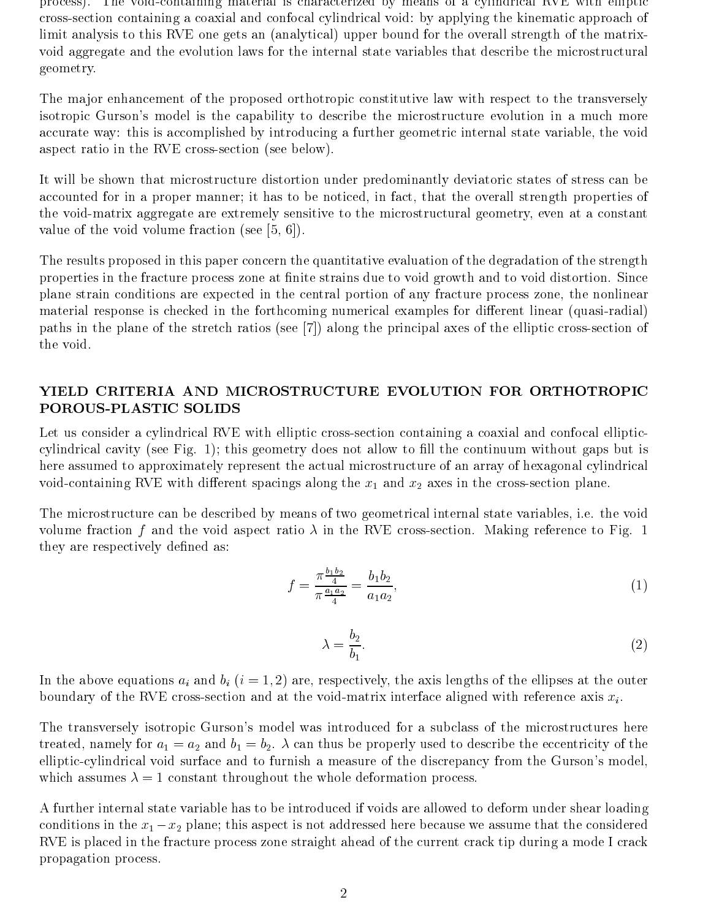process). The void-containing material is characterized by means of a cylindrical RVE with elliptic cross-section containing a coaxial and confocal cylindrical void: by applying the kinematic approach of limit analysis to this RVE one gets an (analytical) upper bound for the overall strength of the matrixvoid aggregate and the evolution laws for the internal state variables that describe the microstructural geometry.

The major enhancement of the proposed orthotropic constitutive law with respect to the transversely isotropic Gurson's model is the capability to describe the microstructure evolution in a much more accurate way: this is accomplished by introducing a further geometric internal state variable, the void aspect ratio in the RVE cross-section (see below).

It will be shown that microstructure distortion under predominantly deviatoric states of stress can be accounted for in a proper manner; it has to be noticed, in fact, that the overall strength properties of the void-matrix aggregate are extremely sensitive to the microstructural geometry, even ata constant value of the void volume fraction (see [5, 6]).

The results proposed in this paper concern the quantitative evaluation of the degradation of the strength properties in the fracture process zone at finite strains due to void growth and to void distortion. Since plane strain conditions are expected in the central portion of any fracture process zone, the nonlinear material response is checked in the forthcoming numerical examples for different linear (quasi-radial) paths in the plane of the stretch ratios (see [7]) along the principal axes of the elliptic cross-section of the void.

# YIELD CRITERIA AND MICROSTRUCTURE EVOLUTION FOR ORTHOTROPIC POROUS-PLASTIC SOLIDS

Let us consider a cylindrical RVE with elliptic cross-section containing a coaxial and confocal ellipticcylindrical cavity (see Fig. 1); this geometry does not allow to ll the continuum without gaps but is here assumed to approximately represent the actual microstructure of an array of hexagonal cylindrical void-containing RVE with different spacings along the  $x_1$  and  $x_2$  axes in the cross-section plane.

The microstructure can be described by means of two geometrical internal state variables, i.e. the void volume fraction f and the void aspect ratio  $\lambda$  in the RVE cross-section. Making reference to Fig. 1 they are respectively defined as:

$$
f = \frac{\pi \frac{b_1 b_2}{4}}{\pi \frac{a_1 a_2}{4}} = \frac{b_1 b_2}{a_1 a_2},\tag{1}
$$

$$
\lambda = \frac{b_2}{b_1}.\tag{2}
$$

In the above equations  $a_i$  and  $b_i$   $(i = 1, 2)$  are, respectively, the axis lengths of the ellipses at the outer boundary of the RVE cross-section and at the void-matrix interface aligned with reference axis  $x_i$ .

The transversely isotropic Gurson's model was introduced for a subclass of the microstructures here treated, namely for  $a_1 = a_2$  and  $b_1 = b_2$ .  $\lambda$  can thus be properly used to describe the eccentricity of the elliptic-cylindrical void surface and to furnish a measure of the discrepancy from the Gurson's model, which assumes  $\lambda = 1$  constant throughout the whole deformation process.

A further internal state variable has to be introduced if voids are allowed to deform under shear loading conditions in the  $x_1 - x_2$  plane; this aspect is not addressed here because we assume that the considered RVE is placed in the fracture process zone straight ahead of the current crack tip during a mode I crack propagation process.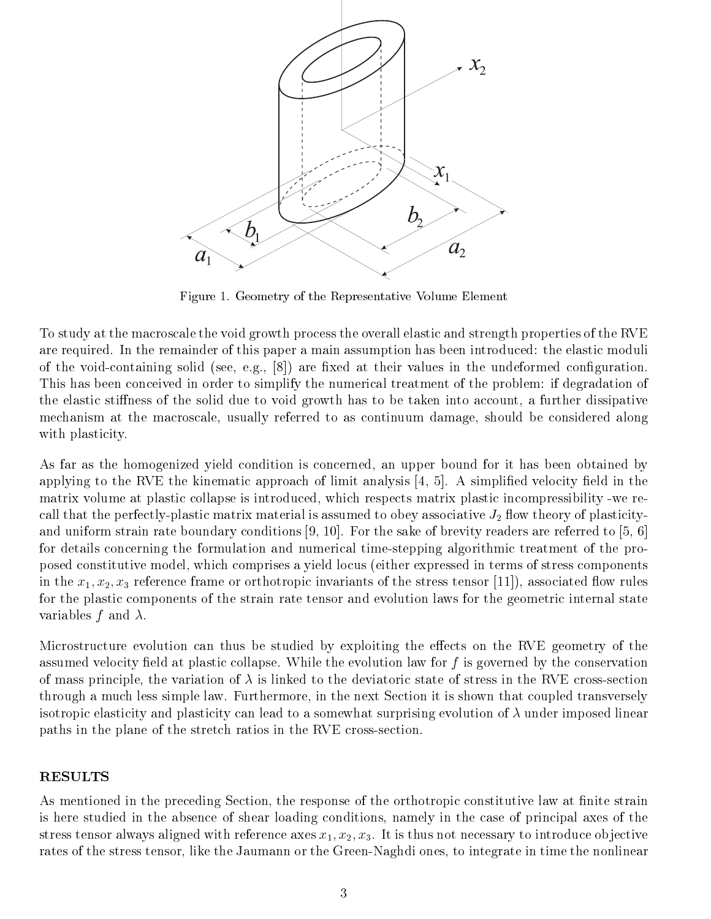

Figure 1. Geometry of the Representative Volume Element

To study at the macroscale the void growth process the overall elastic and strength properties of the RVE are required. In the remainder of this paper a main assumption has been introduced: the elastic moduli of the void-containing solid (see, e.g.,  $[8]$ ) are fixed at their values in the undeformed configuration. This has been conceived in order to simplify the numerical treatment of the problem: if degradation of the elastic stiffness of the solid due to void growth has to be taken into account, a further dissipative mechanism at the macroscale, usually referred to as continuum damage, should be considered along with plasticity.

As far as the homogenized yield condition is concerned, an upper bound for it has been obtained by applying to the RVE the kinematic approach of limit analysis  $[4, 5]$ . A simplified velocity field in the matrix volume at plastic collapse is introduced, which respects matrix plastic incompressibility -we recall that the perfectly-plastic matrix material is assumed to obey associative  $J_2$  flow theory of plasticityand uniform strain rate boundary conditions [9, 10]. For the sake of brevity readers are referred to [5, 6] for details concerning the formulation and numerical time-stepping algorithmic treatment of the proposed constitutive model, which comprises a yield locus (either expressed in terms of stress components in the  $x_1, x_2, x_3$  reference frame or orthotropic invariants of the stress tensor [11]), associated flow rules for the plastic components of the strain rate tensor and evolution laws for the geometric internal state variables f and  $\lambda$ .

Microstructure evolution can thus be studied by exploiting the effects on the RVE geometry of the assumed velocity field at plastic collapse. While the evolution law for  $f$  is governed by the conservation of mass principle, the variation of  $\lambda$  is linked to the deviatoric state of stress in the RVE cross-section through a much less simple law. Furthermore, in the next Section it is shown that coupled transversely isotropic elasticity and plasticity can lead to a somewhat surprising evolution of  $\lambda$  under imposed linear paths in the plane of the stretch ratios in the RVE cross-section.

### RESULTS

As mentioned in the preceding Section, the response of the orthotropic constitutive law at finite strain is here studied in the absence of shear loading conditions, namely in the case of principal axes of the stress tensor always aligned with reference axes  $x_1, x_2, x_3$ . It is thus not necessary to introduce objective rates of the stress tensor, like the Jaumann or the Green-Naghdi ones, to integrate in time the nonlinear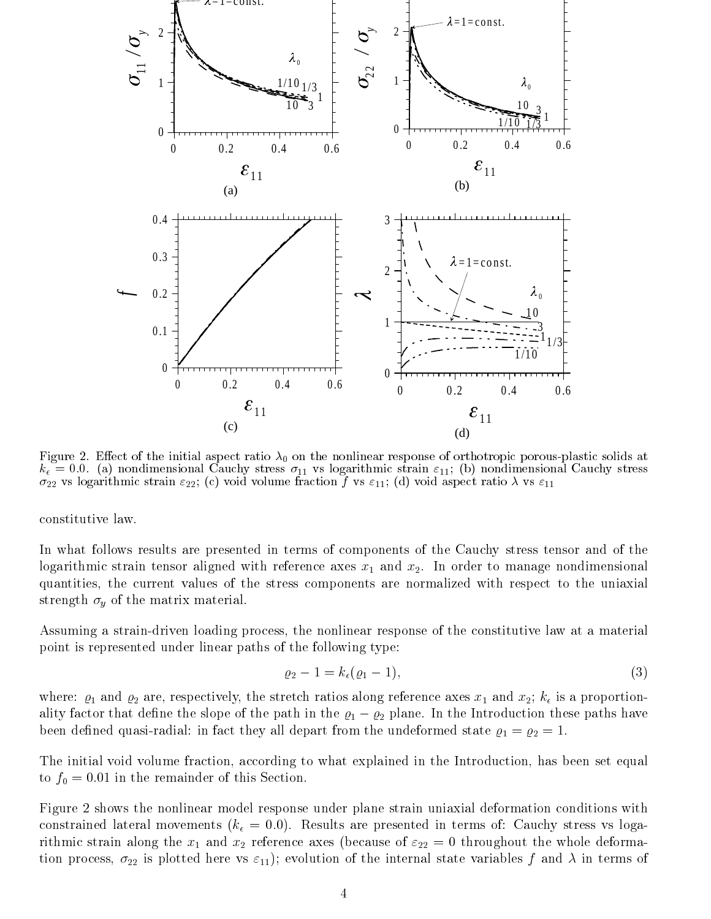

Figure 2. Eect of the initial aspect ratio 0 on the nonlinear response of orthotropic porous-plastic solids at  $\kappa_\epsilon=$  0.0. (a) nondimensional Cauchy stress  $\sigma_{11}$  vs logarithmic strain  $\varepsilon_{11},$  (b) nondimensional Cauchy stress  $\sigma_{22}$  vs logarithmic strain  $\varepsilon_{22}$ ; (c) void volume fraction f vs  $\varepsilon_{11}$ ; (d) void aspect ratio  $\lambda$  vs  $\varepsilon_{11}$ 

constitutive law.

In what follows results are presented in terms of components of the Cauchy stress tensor and of the logarithmic strain tensor aligned with reference axes  $x_1$  and  $x_2$ . In order to manage nondimensional quantities, the current values of the stress components are normalized with respect to the uniaxial strength  $\sigma_y$  of the matrix material.

Assuming a strain-driven loading process, the nonlinear response of the constitutive law at a material point is represented under linear paths of the following type:

$$
\varrho_2 - 1 = k_{\epsilon}(\varrho_1 - 1),\tag{3}
$$

where:  $\varrho_1$  and  $\varrho_2$  are, respectively, the stretch ratios along reference axes  $x_1$  and  $x_2$ ;  $k_{\epsilon}$  is a proportionality factor that define the slope of the path in the  $\varrho_1 - \varrho_2$  plane. In the Introduction these paths have been defined quasi-radial: in fact they all depart from the undeformed state  $\rho_1 = \rho_2 = 1$ .

The initial void volume fraction, according to what explained in the Introduction, has been set equal to  $f_0 = 0.01$  in the remainder of this Section.

Figure 2 shows the nonlinear model response under plane strain uniaxial deformation conditions with constrained lateral movements ( $k_{\epsilon} = 0.0$ ). Results are presented in terms of: Cauchy stress vs logarithmic strain along the  $x_1$  and  $x_2$  reference axes (because of  $\varepsilon_{22} = 0$  throughout the whole deformation process,  $\sigma_{22}$  is plotted here vs  $\varepsilon_{11}$ ); evolution of the internal state variables f and  $\lambda$  in terms of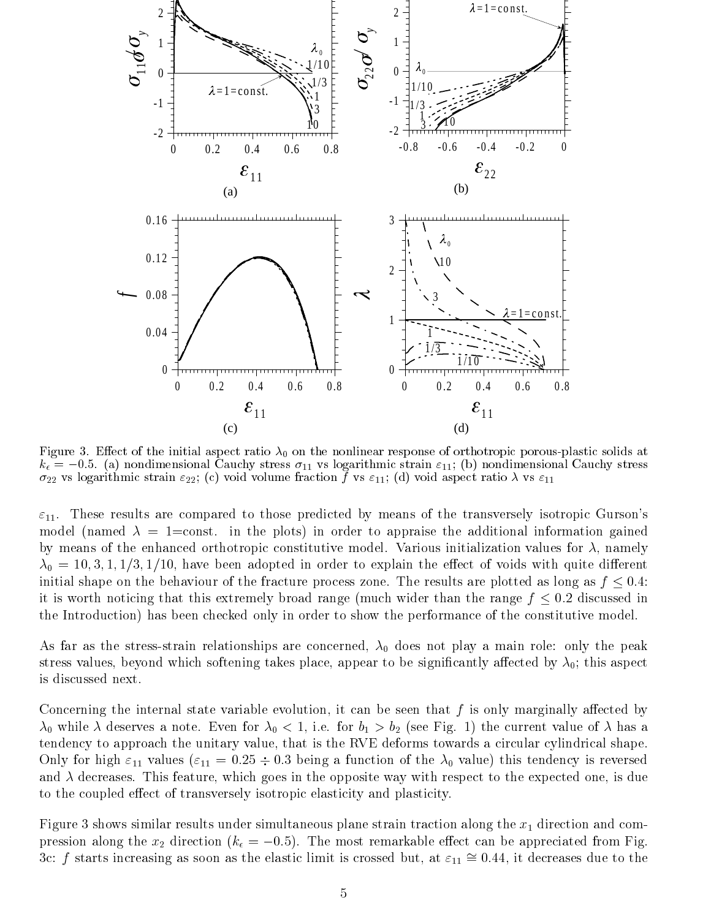

Figure 3. Eect of the initial aspect ratio 0 on the nonlinear response of orthotropic porous-plastic solids at  $k_{\epsilon} = -0.5$ . (a) nondimensional Cauchy stress  $\sigma_{11}$  vs logarithmic strain  $\varepsilon_{11}$ ; (b) nondimensional Cauchy stress  $\sigma_{22}$  vs logarithmic strain  $\varepsilon_{22}$ ; (c) void volume fraction f vs  $\varepsilon_{11}$ ; (d) void aspect ratio  $\lambda$  vs  $\varepsilon_{11}$ 

 $\varepsilon_{11}$ . These results are compared to those predicted by means of the transversely isotropic Gurson's model (named  $\lambda = 1$ =const. in the plots) in order to appraise the additional information gained by means of the enhanced orthotropic constitutive model. Various initialization values for  $\lambda$ , namely  $\lambda_0 = 10, 3, 1, 1/3, 1/10$ , have been adopted in order to explain the effect of voids with quite different initial shape on the behaviour of the fracture process zone. The results are plotted as long as  $f \leq 0.4$ : it is worth noticing that this extremely broad range (much wider than the range  $f \leq 0.2$  discussed in the Introduction) has been checked only in order to show the performance of the constitutive model.

As far as the stress-strain relationships are concerned,  $\lambda_0$  does not play a main role: only the peak stress values, beyond which softening takes place, appear to be significantly affected by  $\lambda_0$ ; this aspect is discussed next.

Concerning the internal state variable evolution, it can be seen that  $f$  is only marginally affected by  $\lambda_0$  while  $\lambda$  deserves a note. Even for  $\lambda_0 < 1$ , i.e. for  $b_1 > b_2$  (see Fig. 1) the current value of  $\lambda$  has a tendency to approach the unitary value, that is the RVE deforms towards a circular cylindrical shape. Only for high  $\varepsilon_{11}$  values ( $\varepsilon_{11} = 0.25 \div 0.3$  being a function of the  $\lambda_0$  value) this tendency is reversed and  $\lambda$  decreases. This feature, which goes in the opposite way with respect to the expected one, is due to the coupled effect of transversely isotropic elasticity and plasticity.

Figure 3 shows similar results under simultaneous plane strain traction along the  $x_1$  direction and compression along the  $x_2$  direction ( $k_{\epsilon} = -0.5$ ). The most remarkable effect can be appreciated from Fig. 3c: f starts increasing as soon as the elastic limit is crossed but, at  $\varepsilon_{11} \approx 0.44$ , it decreases due to the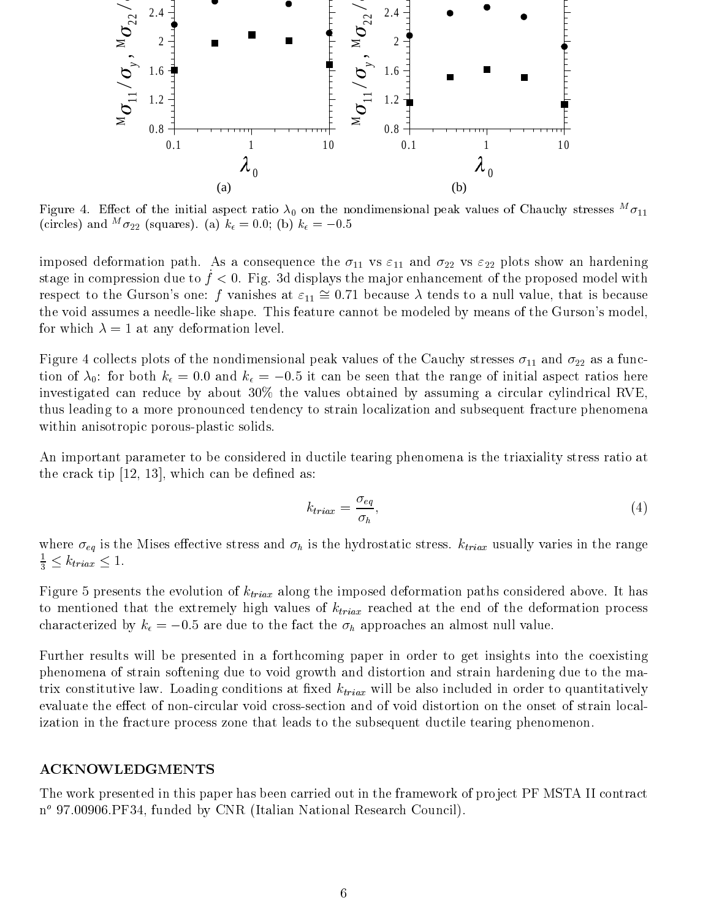

Figure 4. Effect of the initial aspect ratio  $\lambda_0$  on the nondimensional peak values of Chauchy stresses  $\sigma_{11}$ (circles) and  $\sigma_{22}$  (squares). (a)  $\kappa_{\epsilon} = 0.0;$  (b)  $\kappa_{\epsilon} = -0.5$ 

imposed deformation path. As a consequence the  $\sigma_{11}$  vs  $\varepsilon_{11}$  and  $\sigma_{22}$  vs  $\varepsilon_{22}$  plots show an hardening stage in compression due to  $f < 0$ . Fig. 3d displays the major enhancement of the proposed model with respect to the Gurson's one: f vanishes at  $\varepsilon_{11} \approx 0.71$  because  $\lambda$  tends to a null value, that is because the void assumes a needle-like shape. This feature cannot be modeled by means of the Gurson's model, for which  $\lambda = 1$  at any deformation level.

Figure 4 collects plots of the nondimensional peak values of the Cauchy stresses  $\sigma_{11}$  and  $\sigma_{22}$  as a function of  $\lambda_0$ : for both  $k_{\epsilon} = 0.0$  and  $k_{\epsilon} = -0.5$  it can be seen that the range of initial aspect ratios here investigated can reduce by about 30% the values obtained by assuming a circular cylindrical RVE, thus leading to a more pronounced tendency to strain localization and subsequent fracture phenomena within anisotropic porous-plastic solids.

An important parameter to be considered in ductile tearing phenomena is the triaxiality stress ratio at the crack tip  $[12, 13]$ , which can be defined as:

$$
k_{triax} = \frac{\sigma_{eq}}{\sigma_h},\tag{4}
$$

where  $\sigma_{eq}$  is the Mises effective stress and  $\sigma_h$  is the hydrostatic stress.  $k_{triax}$  usually varies in the range  $\frac{1}{3} \leq k_{triax} \leq 1.$ 

Figure 5 presents the evolution of  $k_{triax}$  along the imposed deformation paths considered above. It has to mentioned that the extremely high values of  $k_{triax}$  reached at the end of the deformation process characterized by  $k_{\epsilon} = -0.5$  are due to the fact the  $\sigma_h$  approaches an almost null value.

Further results will be presented in a forthcoming paper in order to get insights into the coexisting phenomena of strain softening due to void growth and distortion and strain hardening due to the matrix constitutive law. Loading conditions at fixed  $k_{triax}$  will be also included in order to quantitatively evaluate the effect of non-circular void cross-section and of void distortion on the onset of strain localization in the fracture process zone that leads to the subsequent ductile tearing phenomenon.

### ACKNOWLEDGMENTS

The work presented in this paper has been carried out in the framework of project PF MSTA II contract n<sup>o</sup> 97.00906.PF34, funded by CNR (Italian National Research Council).